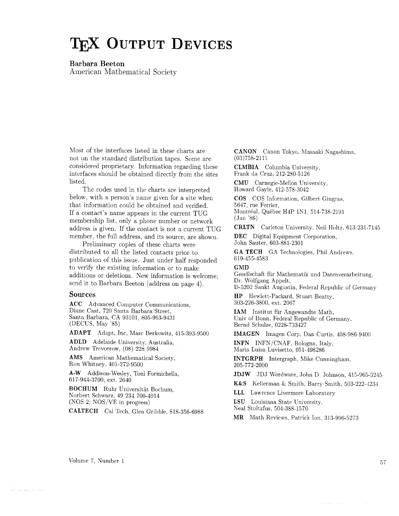# TEX OUTPUT DEVICES

**Barbara Beeton** 

American Mathematical Society

Most of the interfaces listed in these charts are not on the standard distribution tapes. Some are considered proprietary. Information regarding these interfaces should be obtained directly from the sites **listed** 

The codes used in the charts are interpreted below, with a person's name given for a site when that information could be obtained and verified. If a contact's name appears in the current TUG membership list, only a phone number or network address is given. If the contact is not a current TUG member, the full address, and its source, are shown.

Preliminary copies of these charts were distributed to all the listed contacts prior to publication of this issue. Just under half responded to verify the existing information or to make additions or deletions. New information is welcome; send it to Barbara Beeton (address on page 4).

#### **Sources**

**ACC** Advanced Computer Communications, Diane Cast, 720 Santa Barbara Street, Santa Barbara, CA 93101, 805-963-9431 (DECUS, May '85)

**ADAPT** Adapt, Inc, Marc Berkowitz, 415-393-9500

**ADLD** Adelaide University, Australia, Andrew Trevorrow, (08) 228 5984

**AMS** American Mathematical Society, Ron Whitney, 401-272-9500

**A-W** Addison-Wesley, Toni Formichella, 617-944-3700, ext. 2640

**BOCHUM** Ruhr Universitat Bochum, Norbert Schwarz, 49 234 700-4014 (NOS 2; NOS/VE in progress)

**CALTECH** Cal Tech, Glen Gribble, 818-356-6988

**CANON** Canon Tokyo, Masaaki Nagashima. (03)758-2111

**CLMBIA** Columbia University, Frank da Cruz, 212-280-5126

**CMU** Carnegie-Mellon University, Howard Gayle. 412-578-3042

**COS** COS Information, Gilbert Gingras, 5647, rue Ferrier, Montréal, Québec H4P 1N1, 514-738-2191 (Jan '86)

**CRLTN** Carleton University, Neil Holtz. 613-231-7145

**DEC** Digital Equipment Corporation, John Sauter, 603-881-2301

**GA TECH** GA Technologies, Phil Andrews. 619-455-4583

**GMD** 

Gesellschaft fiir Mathematik und Datenverarbeitung, Dr. Wolfgang Appelt, D-5202 Sankt Augustin. Federal Republic of Germany

**HP** Hewlett-Packard, Stuart Beatty, 303-226-3800, ext. 2067

**IAM** Institut fiir Angewandte Math, Univ of Bonn, Federal Republic of Germany, Bernd Schulze, 0228-733427

**IMAGEN** Imagen Corp, Dan Curtis. 408-986-9300

**INFN** INFN/CNAF, Bologna, Italy, Maria Luisa Luvisetto, 051-498286

**INTGRPH** Intergraph. Mike Cunningham, 205-772-2000

**JDJW** JDJ Wordware, John D. Johnson, 415-965-3245

**K&S** Kellerman & Smith, Barry Smith, 503-222-4234

**LLL** Lawrence Livermore Laboratory

**LSU** Louisiana State University,

Neal Stoltzfus, 504-388-1570

**MR** Math Reviews, Patrick Ion. 313-996-5273

and the company of the set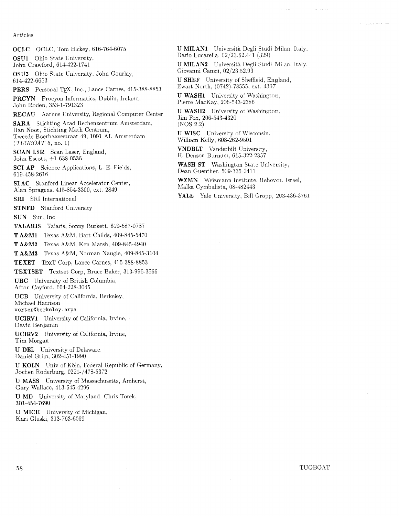#### Articles

**OCLC** OCLC, Tom Hickey, 616-764-6075

**OSUl** Ohio State University. John Crawford, 614-422-1741

**OSU2** Ohio State University, John Gourlay. 614-422-6653

PERS Personal T<sub>F</sub>X, Inc., Lance Carnes, 415-388-8853

**PRCYN** Procyon Informatics, Dublin, Ireland. John Roden, 353-1-791323

**RECAU** Aarhus University, Regional Computer Center

**SARA** Stichting Acad Rechenzentrum Amsterdam, Han Noot, Stichting Math Centrum, Tweede Boerhaavestraat 49, 1091 AL Amsterdam  $(TUGBOAT 5, no. 1)$ 

SCAN LSR Scan Laser, England, John Escott, +l 638 0536

**SCI AP** Science Applications, L. E. Fields, 619-458-2616

**SLAC** Stanford Linear Accelerator Center, Alan Spragens, 415-854-3300, ext. 2849

**SRI** SRI International

**STNFD** Stanford University

**SUN** Sun, Inc

**TALARIS** Talaris, Sonny Burkett, 619-587-0787

**T A&M1** Texas A&M. Bart Childs, 409-845-5470

**T A&M2** Texas A&M. Ken Marsh, 409-845-4940

**T A&M3** Texas A&M, Norman Naugle, 409-845-3104

TEXET Texel Corp, Lance Carnes, 415-388-8853

**TEXTSET** Textset Corp, Bruce Baker, 313-996-3566

**UBC** University of British Columbia, Afton Cayford, 604-228-3045

**UCB** University of California, Berkeley, Michael Harrison

**vortexQberke1ey.arpa** 

**UCIRVl** University of California, Irvine, David Benjamin

**UCIRV2** University of California, Irvine, Tim Morgan

**U DEL** University of Delaware, Daniel Grim, 302-451-1990

**U KOLN** Univ of Koln. Federal Republic of Germany, Jochen Roderburg, 0221-1478-5372

U **MASS** University of Massachusetts, Amherst, Gary Wallace, 413-545-4296

U **MD** University of Maryland, Chris Torek, 301-454-7690

**U MICH** University of Michigan, Kari Gluski. 313-763-6069

**U MILAN1** Università Degli Studi Milan, Italy, Dario Lucarella, 02/23.62.441 (329)

**U MILAN2** Universita Degli Studi Milan, Italy, Giovanni Canzii, 02/23.52.93

U **SHEF** University of Sheffield, England, Ewart Korth, (0742)-78555, ext. 1307

U **WASH1** University of Washington, Pierre MacKay. 206-543-2386

**U WASH2** University of Washington. Jim Fox, 206-543-4320 (NOS 2.2)

**U WISC** University of Wisconsin, William Kelly, 608-262-9501

**VNDBLT** Vanderbilt University, H. Denson Burnum, 615-322-2357

**WASH ST** Washington State University, Dean Guenther, 509-335-0411

**WZMN** Weizmann Institute, Rehovot, Israel. Malka Cymbalista, 08-482443

**YALE** Yale University, Bill Gropp, 203-136-3761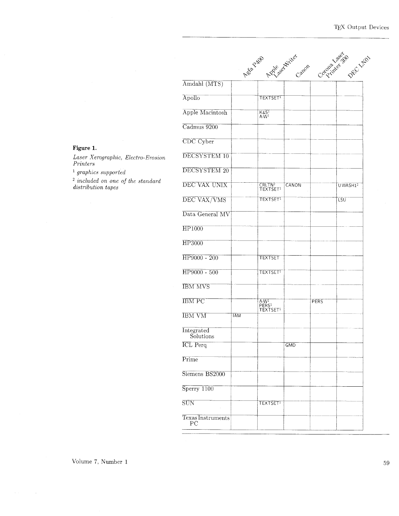|       |                         |            | Ash Zual Azzleechicker                              |            |             | Corporation DEC LIBO |
|-------|-------------------------|------------|-----------------------------------------------------|------------|-------------|----------------------|
|       | Amdahl (MTS)            |            |                                                     |            |             |                      |
|       | Apollo                  |            | <b>TEXTSETT</b>                                     |            |             |                      |
|       | Apple Macintosh         |            | $K&S1$<br>A-W <sup>1</sup>                          |            |             |                      |
|       | Cadmus 9200             |            |                                                     |            |             |                      |
|       | CDC Cyber               |            |                                                     |            |             |                      |
| osion | DECSYSTEM 10            |            |                                                     |            |             |                      |
|       | DECSYSTEM 20            |            |                                                     |            |             |                      |
|       | DEC VAX UNIX            |            | CRLTN <sup>2</sup><br>TEXTSET <sup>1</sup>          | CANON      |             | UWASH1 <sup>2</sup>  |
|       | DEC VAX/VMS             |            | TEXTSET <sup>1</sup>                                |            |             | LSU                  |
|       | Data General MV         |            |                                                     |            |             |                      |
|       | <b>HP1000</b>           |            |                                                     |            |             |                      |
|       | HP3000                  |            |                                                     |            |             |                      |
|       | HP9000 - 200            |            | <b>TEXTSET</b>                                      |            |             |                      |
|       | HP9000 - 500            |            | <b>TEXTSET!</b>                                     |            |             |                      |
|       | <b>IBM MVS</b>          |            |                                                     |            |             |                      |
|       | <b>IBM PC</b>           |            | $A-W1$<br>PERS <sup>1</sup><br>TEXTSET <sup>1</sup> |            | <b>PERS</b> |                      |
|       | <b>IBM VM</b>           | <b>IAM</b> |                                                     |            |             |                      |
|       | Integrated<br>Solutions |            |                                                     |            |             |                      |
|       | <b>ICL</b> Perq         |            |                                                     | <b>GMD</b> |             |                      |
|       | Prime                   |            |                                                     |            |             |                      |
|       | Siemens BS2000          |            |                                                     |            |             |                      |
|       | Sperry 1100             |            |                                                     |            |             |                      |
|       | SUN                     |            | TEXTSET <sup>1</sup>                                |            |             |                      |
|       | Texas Instruments       |            |                                                     |            |             |                      |

## Figure 1.

Laser Xerographic, Electro-En  $\it Printers$ 

 $\footnotesize$ <sup>1</sup> graphics supported

 $\frac{2}{3}$  included on one of the stands<br>distribution tapes

Volume 7, Number  $1\,$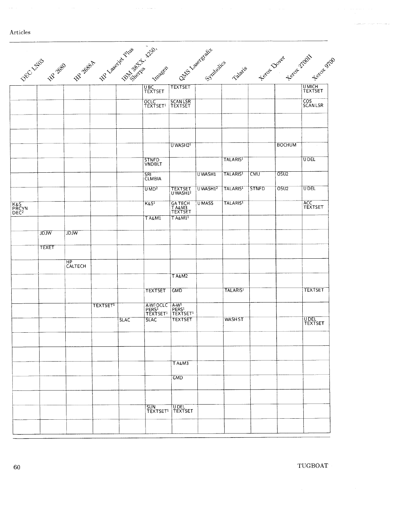#### Articles

|             |             |                 |             | UBC<br>TEXTSET                                         | <b>TEXTSET</b>                 |                                                                                                                                                             |                      |              |                  | <b>UMICH<br/>TEXTSET</b>                                                 |
|-------------|-------------|-----------------|-------------|--------------------------------------------------------|--------------------------------|-------------------------------------------------------------------------------------------------------------------------------------------------------------|----------------------|--------------|------------------|--------------------------------------------------------------------------|
|             |             |                 |             | OCLC<br>TEXTSET <sup>1</sup>                           | SCANLSR<br>TEXTSET             |                                                                                                                                                             |                      |              |                  | COS<br>SCAN LSR                                                          |
|             |             |                 |             |                                                        |                                |                                                                                                                                                             |                      |              |                  |                                                                          |
|             |             |                 |             |                                                        |                                |                                                                                                                                                             |                      |              |                  |                                                                          |
|             |             |                 |             | STNFD<br>VNDBLT                                        |                                |                                                                                                                                                             | <b>TALARIS1</b>      |              |                  | <b>UDEL</b>                                                              |
|             |             |                 |             | SRI<br><b>CLMBIA</b>                                   |                                | UWASH1                                                                                                                                                      | TALARIS <sup>1</sup> | <b>CMU</b>   | OSU <sub>2</sub> |                                                                          |
|             |             |                 |             | UMD <sup>2</sup>                                       | TEXTSET<br>UWASH1 <sup>2</sup> | $U$ WASH $12$                                                                                                                                               | TALARIS <sup>1</sup> | <b>STNFD</b> | OSU2             | <b>UDEL</b>                                                              |
|             |             |                 |             | K&S <sup>1</sup>                                       |                                | <b>UMASS</b>                                                                                                                                                | <b>TALARIS1</b>      |              |                  | ACC<br>TEXTSET                                                           |
|             |             |                 |             | <b>TA&amp;MI</b>                                       | $T A \& M1$                    |                                                                                                                                                             |                      |              |                  |                                                                          |
| <b>WLGL</b> | <b>Mrgr</b> |                 |             |                                                        |                                |                                                                                                                                                             |                      |              |                  |                                                                          |
| TEXET       |             |                 |             |                                                        |                                |                                                                                                                                                             |                      |              |                  |                                                                          |
|             | HP          |                 |             |                                                        |                                |                                                                                                                                                             |                      |              |                  |                                                                          |
|             |             |                 |             |                                                        | TA&M2                          |                                                                                                                                                             |                      |              |                  |                                                                          |
|             |             |                 |             | <b>TEXTSET</b>                                         | <b>GMD</b>                     |                                                                                                                                                             | <b>TALARIS1</b>      |              |                  | <b>TEXTSET</b>                                                           |
|             |             | <b>TEXTSET1</b> |             | A-W <sup>1</sup> OCLC<br>PERS <sup>1</sup><br>TEXTSET1 |                                |                                                                                                                                                             |                      |              |                  |                                                                          |
|             |             |                 | <b>SLAC</b> | <b>SLAC</b>                                            | <b>TEXTSET</b>                 |                                                                                                                                                             | <b>WASHST</b>        |              |                  | UDEL<br>TEXTSET                                                          |
|             |             |                 |             |                                                        |                                |                                                                                                                                                             |                      |              |                  |                                                                          |
|             |             |                 |             |                                                        | <b>TA&amp;M3</b>               |                                                                                                                                                             |                      |              |                  |                                                                          |
|             |             |                 |             |                                                        | <b>GMD</b>                     |                                                                                                                                                             |                      |              |                  |                                                                          |
|             |             |                 |             | SUN<br>TEXTSET <sup>1</sup>                            | <b>UDEL</b><br>TEXTSET         |                                                                                                                                                             |                      |              |                  |                                                                          |
|             |             | CALTECH         |             |                                                        |                                | DEC 17:03 B 28 28 BBS 48 1986 RM 38-276 126-28<br>U WASH21<br>GA TECH<br>T A&M3<br>TEXTSET<br>A-W <sup>1</sup><br>PERS <sup>1</sup><br>TEXTSET <sup>1</sup> |                      |              |                  | Outes i.estatestics rates of Dover 2 or 2 days of Dover<br><b>BOCHUM</b> |

 $\beta$  ,  $\beta$  ,  $\beta$  ,  $\beta$  ,  $\alpha$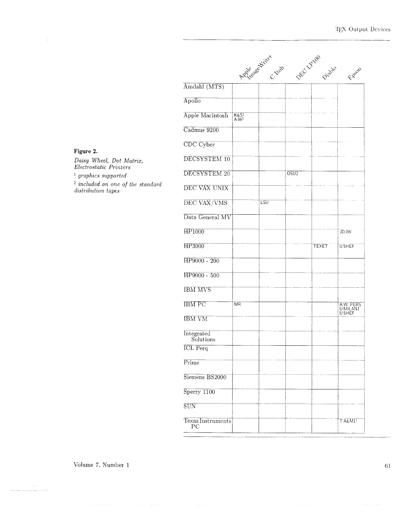|                                  |                                      | Applease of the C.Hob | DECLARIAN | Diable       | EREOF                           |
|----------------------------------|--------------------------------------|-----------------------|-----------|--------------|---------------------------------|
| Amdahl (MTS)                     |                                      |                       |           |              |                                 |
| Apollo                           |                                      |                       |           |              |                                 |
| Apple Macintosh                  | K&S <sup>1</sup><br>A-W <sup>1</sup> |                       |           |              |                                 |
| Cadmus 9200                      |                                      |                       |           |              |                                 |
| CDC Cyber                        |                                      |                       |           |              |                                 |
| DECSYSTEM 10                     |                                      |                       |           |              |                                 |
| DECSYSTEM 20                     |                                      |                       | OSU2      |              |                                 |
| DEC VAX UNIX                     |                                      |                       |           |              |                                 |
| DEC VAX/VMS                      |                                      | LSU                   |           |              |                                 |
| Data General MV                  |                                      |                       |           |              |                                 |
| <b>HP1000</b>                    |                                      |                       |           |              | <b>MIGL</b>                     |
| HP3000                           |                                      |                       |           | <b>TEXET</b> | <b>USHEF</b>                    |
| HP9000 - 200                     |                                      |                       |           |              |                                 |
| HP9000 - 500                     |                                      |                       |           |              |                                 |
| <b>IBM MVS</b>                   |                                      |                       |           |              |                                 |
| <b>IBM PC</b>                    | <b>MR</b>                            |                       |           |              | A-W, PERS<br>U MILAN1<br>U SHEF |
| <b>IBM VM</b>                    |                                      |                       |           |              |                                 |
| Integrated<br>Solutions          |                                      |                       |           |              |                                 |
| <b>ICL</b> Perq                  |                                      |                       |           |              |                                 |
| Prime                            |                                      |                       |           |              |                                 |
| Siemens BS2000                   |                                      |                       |           |              |                                 |
| $Sperry$ 1100                    |                                      |                       |           |              |                                 |
| SUN                              |                                      |                       |           |              |                                 |
| Texas Instruments<br>$_{\rm PC}$ |                                      |                       |           |              | $T A\&M11$                      |

## Figure 2.

Daisy Wheel, Dot Matrix,<br>Electrostatic Printers

 $^{\rm 1}$  graphics supported

 $\frac{1}{2}$  included on one of the standard<br>distribution tapes

Volume 7, Number 1

an ana agamanya ny Fran

 $61\,$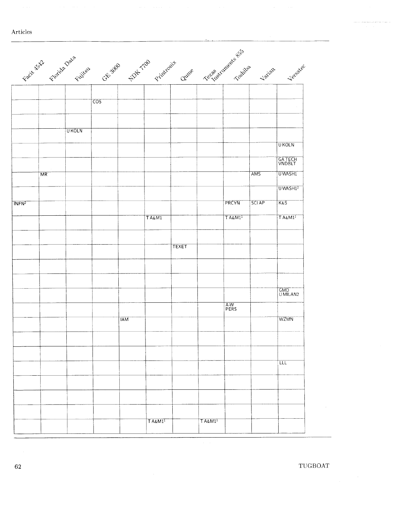|                   |    |              |            |            |              |        | Facts Kitch Facts Data Cross 2000 21 Time on the Cross of Capital Capital Capital Library |                     |              | Jersalec              |
|-------------------|----|--------------|------------|------------|--------------|--------|-------------------------------------------------------------------------------------------|---------------------|--------------|-----------------------|
|                   |    |              |            |            |              |        |                                                                                           |                     |              |                       |
|                   |    |              |            |            |              |        |                                                                                           |                     |              |                       |
|                   |    |              | <b>COS</b> |            |              |        |                                                                                           |                     |              |                       |
|                   |    |              |            |            |              |        |                                                                                           |                     |              |                       |
|                   |    | <b>UKOLN</b> |            |            |              |        |                                                                                           |                     |              |                       |
|                   |    |              |            |            |              |        |                                                                                           |                     |              | <b>UKOLN</b>          |
|                   |    |              |            |            |              |        |                                                                                           |                     |              |                       |
|                   |    |              |            |            |              | $\sim$ |                                                                                           |                     |              | GATECH<br>VNDBLT      |
|                   | MR |              |            |            |              |        |                                                                                           |                     | <b>AMS</b>   | <b>UWASHI</b>         |
|                   |    |              |            |            |              |        |                                                                                           |                     |              | UWASH1 <sup>2</sup>   |
|                   |    |              |            |            |              |        |                                                                                           | PRCYN               | <b>SCIAP</b> | <b>K&amp;S</b>        |
| TNFN <sup>2</sup> |    |              |            |            |              |        |                                                                                           |                     |              |                       |
|                   |    |              |            |            | TA&M1        |        |                                                                                           | T A&M1 <sup>1</sup> |              | T A k M1 <sup>1</sup> |
|                   |    |              |            |            |              |        |                                                                                           |                     |              |                       |
|                   |    |              |            |            |              | TEXET  |                                                                                           |                     |              |                       |
|                   |    |              |            |            |              |        |                                                                                           |                     |              |                       |
|                   |    |              |            |            |              |        |                                                                                           |                     |              |                       |
|                   |    |              |            |            |              |        |                                                                                           |                     |              |                       |
|                   |    |              |            |            |              |        |                                                                                           |                     |              | GMD<br>U MILAN2       |
|                   |    |              |            |            |              |        |                                                                                           |                     |              |                       |
|                   |    |              |            |            |              |        |                                                                                           | A-W<br>PERS         |              |                       |
|                   |    |              |            | <b>IAM</b> |              |        |                                                                                           |                     |              | <b>WZMN</b>           |
|                   |    |              |            |            |              |        |                                                                                           |                     |              |                       |
|                   |    |              |            |            |              |        |                                                                                           |                     |              |                       |
|                   |    |              |            |            |              |        |                                                                                           |                     |              |                       |
|                   |    |              |            |            | $\sim$       |        |                                                                                           |                     |              | ΙЩ                    |
|                   |    |              |            |            |              |        |                                                                                           |                     |              |                       |
|                   |    |              |            |            |              |        |                                                                                           |                     |              |                       |
|                   |    |              |            |            |              |        |                                                                                           |                     |              |                       |
|                   |    |              |            |            |              |        |                                                                                           |                     |              |                       |
|                   |    |              |            |            | $T A \& M11$ |        | $T A\&M11$                                                                                |                     |              |                       |
|                   |    |              |            |            |              |        |                                                                                           |                     |              |                       |

62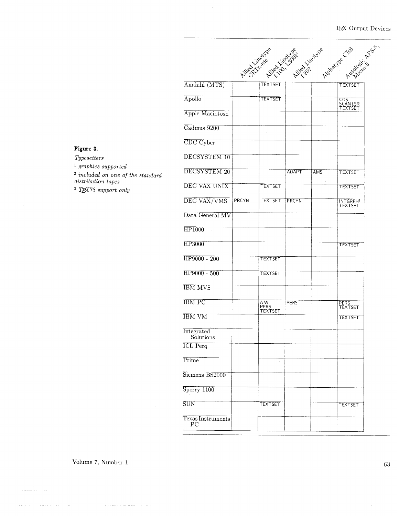|                                  |       |                        |              |            | Airestration Airest Ballyce Linewine Association |  |
|----------------------------------|-------|------------------------|--------------|------------|--------------------------------------------------|--|
|                                  |       |                        |              |            |                                                  |  |
| Amdahl (MTS)                     |       | <b>TEXTSET</b>         |              |            | <b>TEXTSET</b>                                   |  |
| Apollo                           |       | <b>TEXTSET</b>         |              |            | COS<br>SCAN LSR<br>TEXTSET                       |  |
| Apple Macintosh                  |       |                        |              |            |                                                  |  |
| Cadmus 9200                      |       |                        |              |            |                                                  |  |
| CDC Cyber                        |       |                        |              |            |                                                  |  |
| DECSYSTEM 10                     |       |                        |              |            |                                                  |  |
| DECSYSTEM 20                     |       |                        | <b>ADAPT</b> | <b>AMS</b> | <b>TEXTSET</b>                                   |  |
| DEC VAX UNIX                     |       | <b>TEXTSET</b>         |              |            | <b>TEXTSET</b>                                   |  |
| DEC VAX/VMS                      | PRCYN | <b>TEXTSET</b>         | PRCYN        |            | <b>INTGRPH<sup>I</sup></b><br>TEXTSET            |  |
| Data General MV                  |       |                        |              |            |                                                  |  |
| HP1000                           |       |                        |              |            |                                                  |  |
| HP3000                           |       |                        |              |            | <b>TEXTSET</b>                                   |  |
| HP9000 - 200                     |       | TEXTSET                |              |            |                                                  |  |
| HP9000 - 500                     |       | TEXTSET                |              |            |                                                  |  |
|                                  |       |                        |              |            |                                                  |  |
| <b>IBM MVS</b>                   |       |                        |              |            |                                                  |  |
| <b>IBM PC</b>                    |       | A-W<br>PERS<br>TEXTSET | <b>PERS</b>  |            | PERS<br>TEXTSET                                  |  |
| <b>IBM VM</b>                    |       |                        |              |            | <b>TEXTSET</b>                                   |  |
| Integrated<br>Solutions          |       |                        |              |            |                                                  |  |
| <b>ICL</b> Perq                  |       |                        |              |            |                                                  |  |
| Prime                            |       |                        |              |            |                                                  |  |
| Siemens BS2000                   |       |                        | $\bar{z}$    |            |                                                  |  |
| Sperry 1100                      |       |                        |              |            |                                                  |  |
| SUN                              |       | TEXTSET                |              |            | <b>TEXTSET</b>                                   |  |
| Texas Instruments<br>$_{\rm PC}$ |       |                        |              |            |                                                  |  |
|                                  |       |                        |              |            |                                                  |  |

# **Figure 3.**

*Typesetters graphics supported included on one of the standard distribution tapes* 

<sup>3</sup> TEX78 support only

Volume 7, Number I

63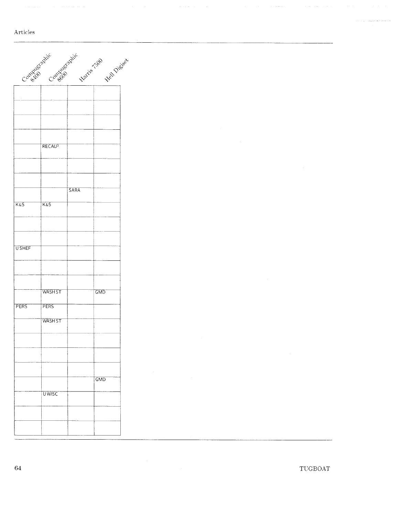### $\Large \bf Articles$

|                | Contrib Contability Marie 150     |      | Hell Digital |  |
|----------------|-----------------------------------|------|--------------|--|
|                |                                   |      |              |  |
|                | RECAU <sup>3</sup>                |      |              |  |
|                |                                   |      |              |  |
| <b>K&amp;S</b> | K&S                               | SARA |              |  |
| <b>USHEF</b>   |                                   |      |              |  |
|                | WASH ST                           |      | GMD          |  |
| <b>PERS</b>    | <b>PERS</b><br>WASH <sub>ST</sub> |      |              |  |
|                |                                   |      |              |  |
|                | <b>UWISC</b>                      |      | GMD          |  |
|                |                                   |      |              |  |

 $\left\langle \left( \mu_{\alpha\beta} \right) \rho_{\alpha\beta} \left( \mu_{\alpha\beta} \right) \rho_{\alpha\beta} \right\rangle$  ,  $\left\langle \mu_{\alpha\beta} \right\rangle$ 

 $\hat{\varphi}$  ) infinitely on  $\hat{\mathcal{O}}$  (i.e. or  $\hat{\psi}$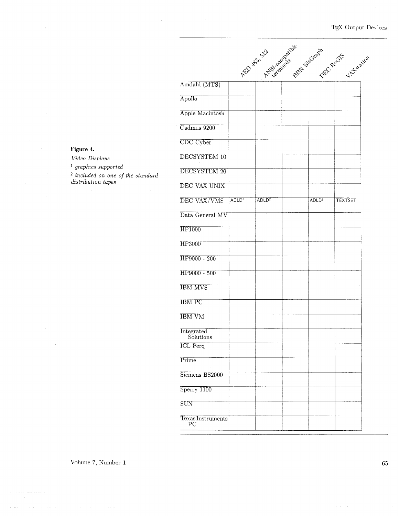|                              |                   | AED RES. S.2 Compaigne |                   | sport BitCrash Castle 1 Assault |
|------------------------------|-------------------|------------------------|-------------------|---------------------------------|
| Amdahl (MTS)                 |                   |                        |                   |                                 |
| Apollo                       |                   |                        |                   |                                 |
| Apple Macintosh              |                   |                        |                   |                                 |
| Cadmus 9200                  |                   |                        |                   |                                 |
| CDC Cyber                    |                   |                        |                   |                                 |
| DECSYSTEM 10                 |                   |                        |                   |                                 |
| DECSYSTEM 20                 |                   |                        |                   |                                 |
| DEC VAX UNIX                 |                   |                        |                   |                                 |
| DEC VAX/VMS                  | ADLD <sup>2</sup> | ADLD <sup>2</sup>      | ADLD <sup>2</sup> | <b>TEXTSET</b>                  |
| Data General MV              |                   |                        |                   |                                 |
| <b>HP1000</b>                |                   |                        |                   |                                 |
| HP3000                       |                   |                        |                   |                                 |
| HP9000 - 200                 |                   |                        |                   |                                 |
| HP9000 - 500                 |                   |                        |                   |                                 |
| <b>IBM MVS</b>               |                   |                        |                   |                                 |
| <b>IBM PC</b>                |                   |                        |                   |                                 |
| <b>IBM VM</b>                |                   |                        |                   |                                 |
| Integrated                   |                   |                        |                   |                                 |
| Solutions<br><b>ICL</b> Perq |                   |                        |                   |                                 |
| Prime                        |                   |                        |                   |                                 |
| Siemens BS2000               |                   |                        |                   |                                 |
| Sperry 1100                  |                   |                        |                   |                                 |
| SUN                          |                   |                        |                   |                                 |
| Texas Instruments<br>PС      |                   |                        |                   |                                 |

#### **Figure** *4. Vzdeo Dzsplays*  <sup>1</sup> graphics supported *zncluded on one of the standard*   $\it{distribution}$  tapes

Volume 7, Number 1

en en esta  $\sim$ 

65